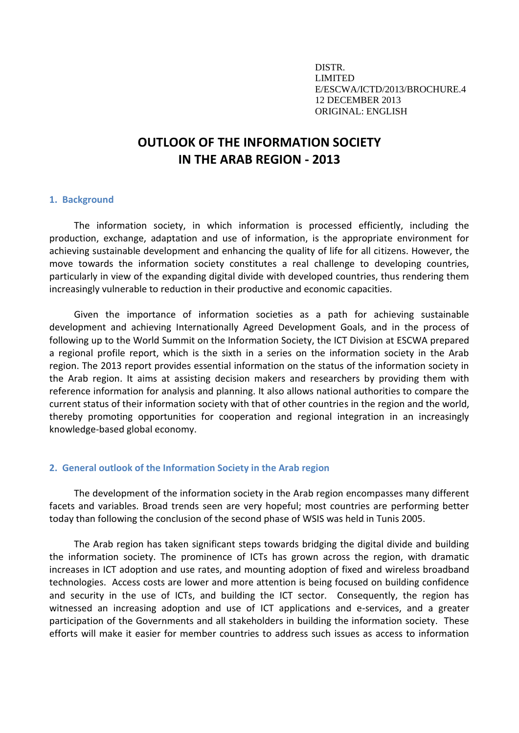DISTR. LIMITED E/ESCWA/ICTD/2013/BROCHURE.4 12 DECEMBER 2013 ORIGINAL: ENGLISH

# **OUTLOOK OF THE INFORMATION SOCIETY IN THE ARAB REGION - 2013**

## **1. Background**

The information society, in which information is processed efficiently, including the production, exchange, adaptation and use of information, is the appropriate environment for achieving sustainable development and enhancing the quality of life for all citizens. However, the move towards the information society constitutes a real challenge to developing countries, particularly in view of the expanding digital divide with developed countries, thus rendering them increasingly vulnerable to reduction in their productive and economic capacities.

Given the importance of information societies as a path for achieving sustainable development and achieving Internationally Agreed Development Goals, and in the process of following up to the World Summit on the Information Society, the ICT Division at ESCWA prepared a regional profile report, which is the sixth in a series on the information society in the Arab region. The 2013 report provides essential information on the status of the information society in the Arab region. It aims at assisting decision makers and researchers by providing them with reference information for analysis and planning. It also allows national authorities to compare the current status of their information society with that of other countries in the region and the world, thereby promoting opportunities for cooperation and regional integration in an increasingly knowledge-based global economy.

## **2. General outlook of the Information Society in the Arab region**

The development of the information society in the Arab region encompasses many different facets and variables. Broad trends seen are very hopeful; most countries are performing better today than following the conclusion of the second phase of WSIS was held in Tunis 2005.

The Arab region has taken significant steps towards bridging the digital divide and building the information society. The prominence of ICTs has grown across the region, with dramatic increases in ICT adoption and use rates, and mounting adoption of fixed and wireless broadband technologies. Access costs are lower and more attention is being focused on building confidence and security in the use of ICTs, and building the ICT sector. Consequently, the region has witnessed an increasing adoption and use of ICT applications and e-services, and a greater participation of the Governments and all stakeholders in building the information society. These efforts will make it easier for member countries to address such issues as access to information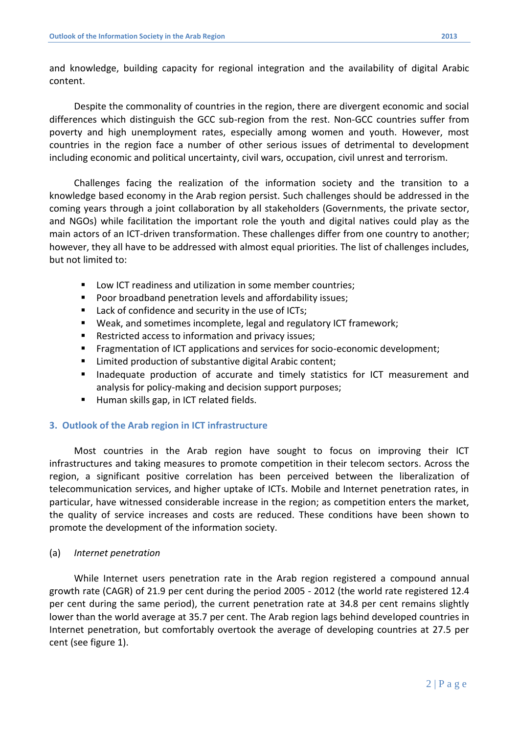Despite the commonality of countries in the region, there are divergent economic and social differences which distinguish the GCC sub-region from the rest. Non-GCC countries suffer from poverty and high unemployment rates, especially among women and youth. However, most countries in the region face a number of other serious issues of detrimental to development including economic and political uncertainty, civil wars, occupation, civil unrest and terrorism.

Challenges facing the realization of the information society and the transition to a knowledge based economy in the Arab region persist. Such challenges should be addressed in the coming years through a joint collaboration by all stakeholders (Governments, the private sector, and NGOs) while facilitation the important role the youth and digital natives could play as the main actors of an ICT-driven transformation. These challenges differ from one country to another; however, they all have to be addressed with almost equal priorities. The list of challenges includes, but not limited to:

- Low ICT readiness and utilization in some member countries;
- **Poor broadband penetration levels and affordability issues;**
- Lack of confidence and security in the use of ICTs;
- Weak, and sometimes incomplete, legal and regulatory ICT framework;
- Restricted access to information and privacy issues;
- Fragmentation of ICT applications and services for socio-economic development;
- Limited production of substantive digital Arabic content;
- Inadequate production of accurate and timely statistics for ICT measurement and analysis for policy-making and decision support purposes;
- Human skills gap, in ICT related fields.

# **3. Outlook of the Arab region in ICT infrastructure**

Most countries in the Arab region have sought to focus on improving their ICT infrastructures and taking measures to promote competition in their telecom sectors. Across the region, a significant positive correlation has been perceived between the liberalization of telecommunication services, and higher uptake of ICTs. Mobile and Internet penetration rates, in particular, have witnessed considerable increase in the region; as competition enters the market, the quality of service increases and costs are reduced. These conditions have been shown to promote the development of the information society.

# (a) *Internet penetration*

While Internet users penetration rate in the Arab region registered a compound annual growth rate (CAGR) of 21.9 per cent during the period 2005 - 2012 (the world rate registered 12.4 per cent during the same period), the current penetration rate at 34.8 per cent remains slightly lower than the world average at 35.7 per cent. The Arab region lags behind developed countries in Internet penetration, but comfortably overtook the average of developing countries at 27.5 per cent (see figure 1).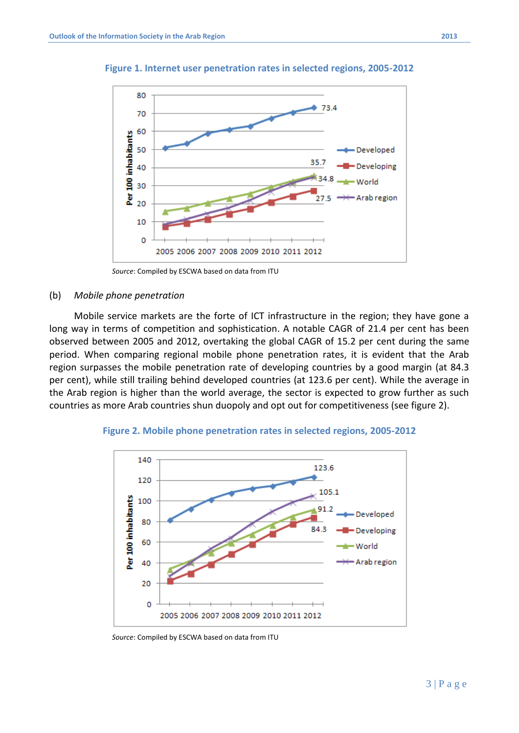

**Figure 1. Internet user penetration rates in selected regions, 2005-2012**

*Source*: Compiled by ESCWA based on data from ITU

#### (b) *Mobile phone penetration*

Mobile service markets are the forte of ICT infrastructure in the region; they have gone a long way in terms of competition and sophistication. A notable CAGR of 21.4 per cent has been observed between 2005 and 2012, overtaking the global CAGR of 15.2 per cent during the same period. When comparing regional mobile phone penetration rates, it is evident that the Arab region surpasses the mobile penetration rate of developing countries by a good margin (at 84.3 per cent), while still trailing behind developed countries (at 123.6 per cent). While the average in the Arab region is higher than the world average, the sector is expected to grow further as such countries as more Arab countries shun duopoly and opt out for competitiveness (see figure 2).



**Figure 2. Mobile phone penetration rates in selected regions, 2005-2012**

*Source*: Compiled by ESCWA based on data from ITU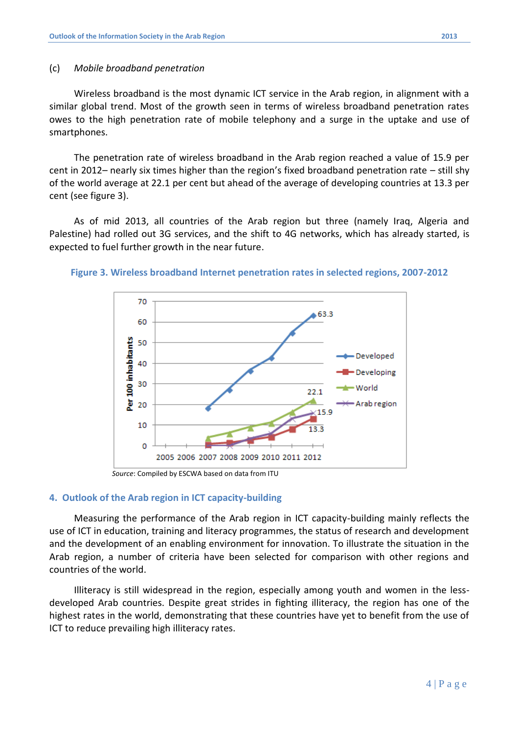## (c) *Mobile broadband penetration*

Wireless broadband is the most dynamic ICT service in the Arab region, in alignment with a similar global trend. Most of the growth seen in terms of wireless broadband penetration rates owes to the high penetration rate of mobile telephony and a surge in the uptake and use of smartphones.

The penetration rate of wireless broadband in the Arab region reached a value of 15.9 per cent in 2012– nearly six times higher than the region's fixed broadband penetration rate – still shy of the world average at 22.1 per cent but ahead of the average of developing countries at 13.3 per cent (see figure 3).

As of mid 2013, all countries of the Arab region but three (namely Iraq, Algeria and Palestine) had rolled out 3G services, and the shift to 4G networks, which has already started, is expected to fuel further growth in the near future.



**Figure 3. Wireless broadband Internet penetration rates in selected regions, 2007-2012**

*Source*: Compiled by ESCWA based on data from ITU

## **4. Outlook of the Arab region in ICT capacity-building**

Measuring the performance of the Arab region in ICT capacity-building mainly reflects the use of ICT in education, training and literacy programmes, the status of research and development and the development of an enabling environment for innovation. To illustrate the situation in the Arab region, a number of criteria have been selected for comparison with other regions and countries of the world.

Illiteracy is still widespread in the region, especially among youth and women in the lessdeveloped Arab countries. Despite great strides in fighting illiteracy, the region has one of the highest rates in the world, demonstrating that these countries have yet to benefit from the use of ICT to reduce prevailing high illiteracy rates.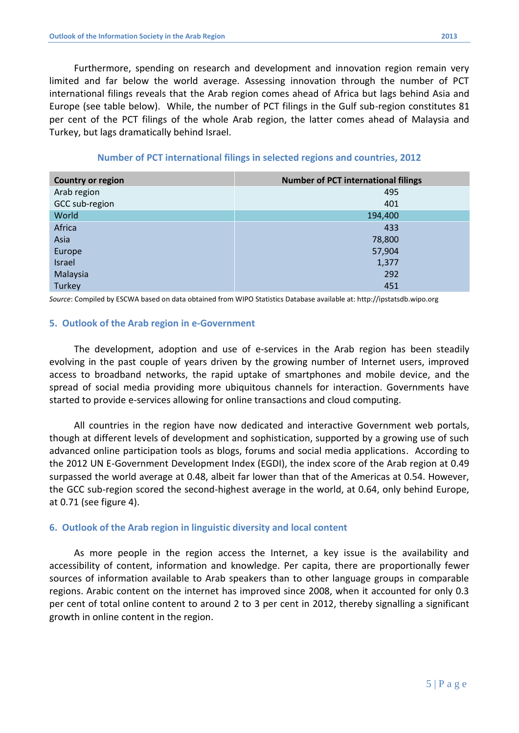Furthermore, spending on research and development and innovation region remain very limited and far below the world average. Assessing innovation through the number of PCT international filings reveals that the Arab region comes ahead of Africa but lags behind Asia and Europe (see table below). While, the number of PCT filings in the Gulf sub-region constitutes 81 per cent of the PCT filings of the whole Arab region, the latter comes ahead of Malaysia and Turkey, but lags dramatically behind Israel.

## **Number of PCT international filings in selected regions and countries, 2012**

| <b>Country or region</b> | <b>Number of PCT international filings</b> |
|--------------------------|--------------------------------------------|
| Arab region              | 495                                        |
| GCC sub-region           | 401                                        |
| World                    | 194,400                                    |
| Africa                   | 433                                        |
| Asia                     | 78,800                                     |
| Europe                   | 57,904                                     |
| Israel                   | 1,377                                      |
| Malaysia                 | 292                                        |
| Turkey                   | 451                                        |

*Source*: Compiled by ESCWA based on data obtained from WIPO Statistics Database available at: http://ipstatsdb.wipo.org

## **5. Outlook of the Arab region in e-Government**

The development, adoption and use of e-services in the Arab region has been steadily evolving in the past couple of years driven by the growing number of Internet users, improved access to broadband networks, the rapid uptake of smartphones and mobile device, and the spread of social media providing more ubiquitous channels for interaction. Governments have started to provide e-services allowing for online transactions and cloud computing.

All countries in the region have now dedicated and interactive Government web portals, though at different levels of development and sophistication, supported by a growing use of such advanced online participation tools as blogs, forums and social media applications. According to the 2012 UN E-Government Development Index (EGDI), the index score of the Arab region at 0.49 surpassed the world average at 0.48, albeit far lower than that of the Americas at 0.54. However, the GCC sub-region scored the second-highest average in the world, at 0.64, only behind Europe, at 0.71 (see figure 4).

## **6. Outlook of the Arab region in linguistic diversity and local content**

As more people in the region access the Internet, a key issue is the availability and accessibility of content, information and knowledge. Per capita, there are proportionally fewer sources of information available to Arab speakers than to other language groups in comparable regions. Arabic content on the internet has improved since 2008, when it accounted for only 0.3 per cent of total online content to around 2 to 3 per cent in 2012, thereby signalling a significant growth in online content in the region.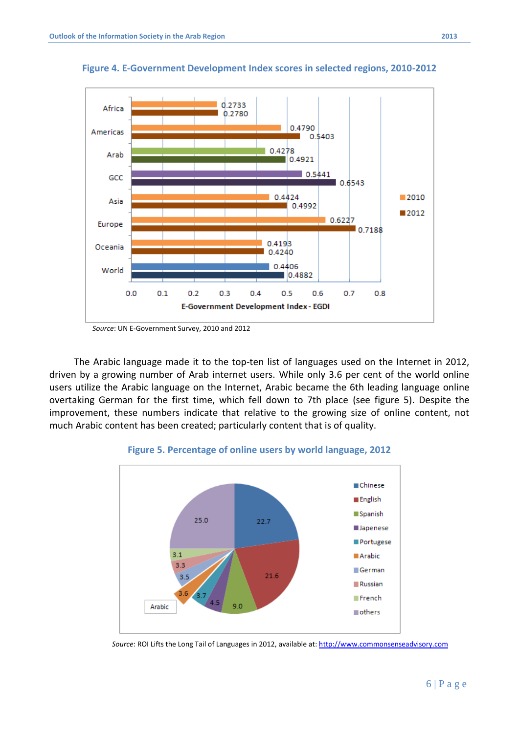

**Figure 4. E-Government Development Index scores in selected regions, 2010-2012**

*Source*: UN E-Government Survey, 2010 and 2012

The Arabic language made it to the top-ten list of languages used on the Internet in 2012, driven by a growing number of Arab internet users. While only 3.6 per cent of the world online users utilize the Arabic language on the Internet, Arabic became the 6th leading language online overtaking German for the first time, which fell down to 7th place (see figure 5). Despite the improvement, these numbers indicate that relative to the growing size of online content, not much Arabic content has been created; particularly content that is of quality.



## **Figure 5. Percentage of online users by world language, 2012**

*Source*: ROI Lifts the Long Tail of Languages in 2012, available at: [http://www.commonsenseadvisory.com](http://www.commonsenseadvisory.com/)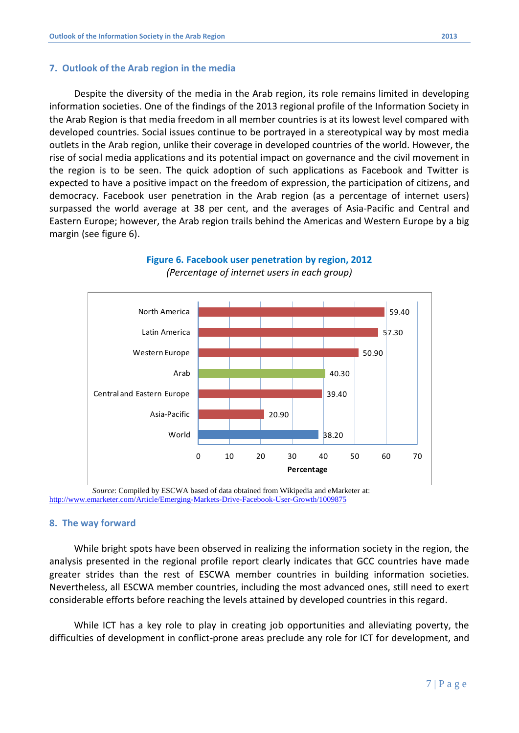## **7. Outlook of the Arab region in the media**

Despite the diversity of the media in the Arab region, its role remains limited in developing information societies. One of the findings of the 2013 regional profile of the Information Society in the Arab Region is that media freedom in all member countries is at its lowest level compared with developed countries. Social issues continue to be portrayed in a stereotypical way by most media outlets in the Arab region, unlike their coverage in developed countries of the world. However, the rise of social media applications and its potential impact on governance and the civil movement in the region is to be seen. The quick adoption of such applications as Facebook and Twitter is expected to have a positive impact on the freedom of expression, the participation of citizens, and democracy. Facebook user penetration in the Arab region (as a percentage of internet users) surpassed the world average at 38 per cent, and the averages of Asia-Pacific and Central and Eastern Europe; however, the Arab region trails behind the Americas and Western Europe by a big margin (see figure 6).



## **Figure 6. Facebook user penetration by region, 2012** *(Percentage of internet users in each group)*

*Source*: Compiled by ESCWA based of data obtained from Wikipedia and eMarketer at: <http://www.emarketer.com/Article/Emerging-Markets-Drive-Facebook-User-Growth/1009875>

## **8. The way forward**

While bright spots have been observed in realizing the information society in the region, the analysis presented in the regional profile report clearly indicates that GCC countries have made greater strides than the rest of ESCWA member countries in building information societies. Nevertheless, all ESCWA member countries, including the most advanced ones, still need to exert considerable efforts before reaching the levels attained by developed countries in this regard.

While ICT has a key role to play in creating job opportunities and alleviating poverty, the difficulties of development in conflict-prone areas preclude any role for ICT for development, and